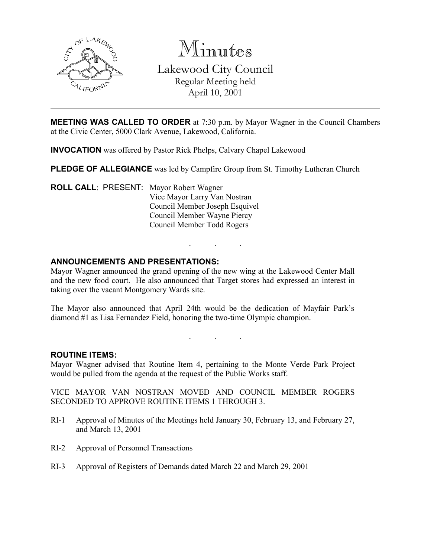

Minutes

Lakewood City Council Regular Meeting held April 10, 2001

MEETING WAS CALLED TO ORDER at 7:30 p.m. by Mayor Wagner in the Council Chambers at the Civic Center, 5000 Clark Avenue, Lakewood, California.

INVOCATION was offered by Pastor Rick Phelps, Calvary Chapel Lakewood

PLEDGE OF ALLEGIANCE was led by Campfire Group from St. Timothy Lutheran Church

ROLL CALL: PRESENT: Mayor Robert Wagner Vice Mayor Larry Van Nostran Council Member Joseph Esquivel Council Member Wayne Piercy Council Member Todd Rogers

## ANNOUNCEMENTS AND PRESENTATIONS:

Mayor Wagner announced the grand opening of the new wing at the Lakewood Center Mall and the new food court. He also announced that Target stores had expressed an interest in taking over the vacant Montgomery Wards site.

. . .

The Mayor also announced that April 24th would be the dedication of Mayfair Park's diamond #1 as Lisa Fernandez Field, honoring the two-time Olympic champion.

. . .

### ROUTINE ITEMS:

Mayor Wagner advised that Routine Item 4, pertaining to the Monte Verde Park Project would be pulled from the agenda at the request of the Public Works staff.

VICE MAYOR VAN NOSTRAN MOVED AND COUNCIL MEMBER ROGERS SECONDED TO APPROVE ROUTINE ITEMS 1 THROUGH 3.

- RI-1 Approval of Minutes of the Meetings held January 30, February 13, and February 27, and March 13, 2001
- RI-2 Approval of Personnel Transactions
- RI-3 Approval of Registers of Demands dated March 22 and March 29, 2001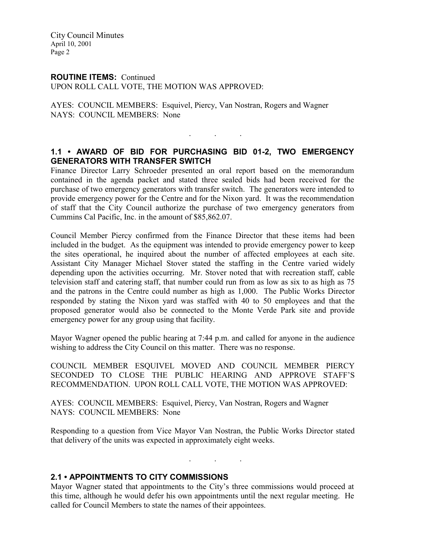#### ROUTINE ITEMS: Continued

UPON ROLL CALL VOTE, THE MOTION WAS APPROVED:

AYES: COUNCIL MEMBERS: Esquivel, Piercy, Van Nostran, Rogers and Wagner NAYS: COUNCIL MEMBERS: None

### 1.1 • AWARD OF BID FOR PURCHASING BID 01-2, TWO EMERGENCY GENERATORS WITH TRANSFER SWITCH

. . .

Finance Director Larry Schroeder presented an oral report based on the memorandum contained in the agenda packet and stated three sealed bids had been received for the purchase of two emergency generators with transfer switch. The generators were intended to provide emergency power for the Centre and for the Nixon yard. It was the recommendation of staff that the City Council authorize the purchase of two emergency generators from Cummins Cal Pacific, Inc. in the amount of \$85,862.07.

Council Member Piercy confirmed from the Finance Director that these items had been included in the budget. As the equipment was intended to provide emergency power to keep the sites operational, he inquired about the number of affected employees at each site. Assistant City Manager Michael Stover stated the staffing in the Centre varied widely depending upon the activities occurring. Mr. Stover noted that with recreation staff, cable television staff and catering staff, that number could run from as low as six to as high as 75 and the patrons in the Centre could number as high as 1,000. The Public Works Director responded by stating the Nixon yard was staffed with 40 to 50 employees and that the proposed generator would also be connected to the Monte Verde Park site and provide emergency power for any group using that facility.

Mayor Wagner opened the public hearing at 7:44 p.m. and called for anyone in the audience wishing to address the City Council on this matter. There was no response.

COUNCIL MEMBER ESQUIVEL MOVED AND COUNCIL MEMBER PIERCY SECONDED TO CLOSE THE PUBLIC HEARING AND APPROVE STAFF'S RECOMMENDATION. UPON ROLL CALL VOTE, THE MOTION WAS APPROVED:

AYES: COUNCIL MEMBERS: Esquivel, Piercy, Van Nostran, Rogers and Wagner NAYS: COUNCIL MEMBERS: None

Responding to a question from Vice Mayor Van Nostran, the Public Works Director stated that delivery of the units was expected in approximately eight weeks.

. . .

#### 2.1 • APPOINTMENTS TO CITY COMMISSIONS

Mayor Wagner stated that appointments to the City's three commissions would proceed at this time, although he would defer his own appointments until the next regular meeting. He called for Council Members to state the names of their appointees.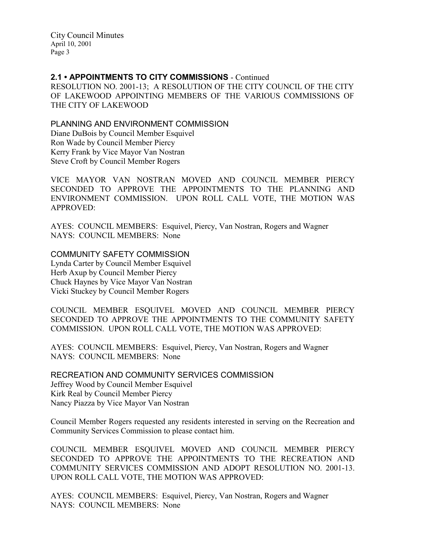2.1 • APPOINTMENTS TO CITY COMMISSIONS - Continued

RESOLUTION NO. 2001-13; A RESOLUTION OF THE CITY COUNCIL OF THE CITY OF LAKEWOOD APPOINTING MEMBERS OF THE VARIOUS COMMISSIONS OF THE CITY OF LAKEWOOD

PLANNING AND ENVIRONMENT COMMISSION

Diane DuBois by Council Member Esquivel Ron Wade by Council Member Piercy Kerry Frank by Vice Mayor Van Nostran Steve Croft by Council Member Rogers

VICE MAYOR VAN NOSTRAN MOVED AND COUNCIL MEMBER PIERCY SECONDED TO APPROVE THE APPOINTMENTS TO THE PLANNING AND ENVIRONMENT COMMISSION. UPON ROLL CALL VOTE, THE MOTION WAS APPROVED:

AYES: COUNCIL MEMBERS: Esquivel, Piercy, Van Nostran, Rogers and Wagner NAYS: COUNCIL MEMBERS: None

COMMUNITY SAFETY COMMISSION Lynda Carter by Council Member Esquivel Herb Axup by Council Member Piercy Chuck Haynes by Vice Mayor Van Nostran Vicki Stuckey by Council Member Rogers

COUNCIL MEMBER ESQUIVEL MOVED AND COUNCIL MEMBER PIERCY SECONDED TO APPROVE THE APPOINTMENTS TO THE COMMUNITY SAFETY COMMISSION. UPON ROLL CALL VOTE, THE MOTION WAS APPROVED:

AYES: COUNCIL MEMBERS: Esquivel, Piercy, Van Nostran, Rogers and Wagner NAYS: COUNCIL MEMBERS: None

RECREATION AND COMMUNITY SERVICES COMMISSION Jeffrey Wood by Council Member Esquivel Kirk Real by Council Member Piercy Nancy Piazza by Vice Mayor Van Nostran

Council Member Rogers requested any residents interested in serving on the Recreation and Community Services Commission to please contact him.

COUNCIL MEMBER ESQUIVEL MOVED AND COUNCIL MEMBER PIERCY SECONDED TO APPROVE THE APPOINTMENTS TO THE RECREATION AND COMMUNITY SERVICES COMMISSION AND ADOPT RESOLUTION NO. 2001-13. UPON ROLL CALL VOTE, THE MOTION WAS APPROVED:

AYES: COUNCIL MEMBERS: Esquivel, Piercy, Van Nostran, Rogers and Wagner NAYS: COUNCIL MEMBERS: None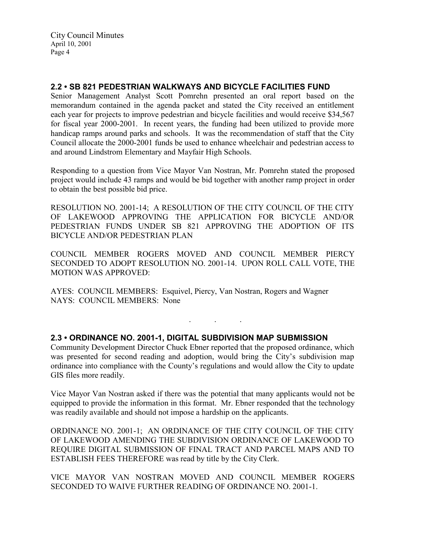## 2.2 • SB 821 PEDESTRIAN WALKWAYS AND BICYCLE FACILITIES FUND

Senior Management Analyst Scott Pomrehn presented an oral report based on the memorandum contained in the agenda packet and stated the City received an entitlement each year for projects to improve pedestrian and bicycle facilities and would receive \$34,567 for fiscal year 2000-2001. In recent years, the funding had been utilized to provide more handicap ramps around parks and schools. It was the recommendation of staff that the City Council allocate the 2000-2001 funds be used to enhance wheelchair and pedestrian access to and around Lindstrom Elementary and Mayfair High Schools.

Responding to a question from Vice Mayor Van Nostran, Mr. Pomrehn stated the proposed project would include 43 ramps and would be bid together with another ramp project in order to obtain the best possible bid price.

RESOLUTION NO. 2001-14; A RESOLUTION OF THE CITY COUNCIL OF THE CITY OF LAKEWOOD APPROVING THE APPLICATION FOR BICYCLE AND/OR PEDESTRIAN FUNDS UNDER SB 821 APPROVING THE ADOPTION OF ITS BICYCLE AND/OR PEDESTRIAN PLAN

COUNCIL MEMBER ROGERS MOVED AND COUNCIL MEMBER PIERCY SECONDED TO ADOPT RESOLUTION NO. 2001-14. UPON ROLL CALL VOTE, THE MOTION WAS APPROVED:

AYES: COUNCIL MEMBERS: Esquivel, Piercy, Van Nostran, Rogers and Wagner NAYS: COUNCIL MEMBERS: None

## 2.3 • ORDINANCE NO. 2001-1, DIGITAL SUBDIVISION MAP SUBMISSION

Community Development Director Chuck Ebner reported that the proposed ordinance, which was presented for second reading and adoption, would bring the City's subdivision map ordinance into compliance with the County's regulations and would allow the City to update GIS files more readily.

. . .

Vice Mayor Van Nostran asked if there was the potential that many applicants would not be equipped to provide the information in this format. Mr. Ebner responded that the technology was readily available and should not impose a hardship on the applicants.

ORDINANCE NO. 2001-1; AN ORDINANCE OF THE CITY COUNCIL OF THE CITY OF LAKEWOOD AMENDING THE SUBDIVISION ORDINANCE OF LAKEWOOD TO REQUIRE DIGITAL SUBMISSION OF FINAL TRACT AND PARCEL MAPS AND TO ESTABLISH FEES THEREFORE was read by title by the City Clerk.

VICE MAYOR VAN NOSTRAN MOVED AND COUNCIL MEMBER ROGERS SECONDED TO WAIVE FURTHER READING OF ORDINANCE NO. 2001-1.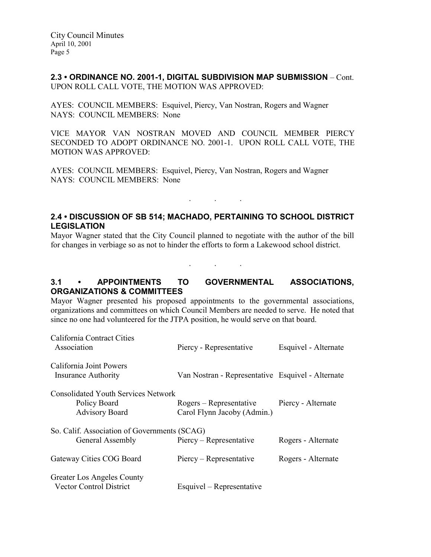2.3 • ORDINANCE NO. 2001-1, DIGITAL SUBDIVISION MAP SUBMISSION – Cont. UPON ROLL CALL VOTE, THE MOTION WAS APPROVED:

AYES: COUNCIL MEMBERS: Esquivel, Piercy, Van Nostran, Rogers and Wagner NAYS: COUNCIL MEMBERS: None

VICE MAYOR VAN NOSTRAN MOVED AND COUNCIL MEMBER PIERCY SECONDED TO ADOPT ORDINANCE NO. 2001-1. UPON ROLL CALL VOTE, THE MOTION WAS APPROVED:

AYES: COUNCIL MEMBERS: Esquivel, Piercy, Van Nostran, Rogers and Wagner NAYS: COUNCIL MEMBERS: None

## 2.4 • DISCUSSION OF SB 514; MACHADO, PERTAINING TO SCHOOL DISTRICT LEGISLATION

. . .

Mayor Wagner stated that the City Council planned to negotiate with the author of the bill for changes in verbiage so as not to hinder the efforts to form a Lakewood school district.

3.1 • APPOINTMENTS TO GOVERNMENTAL ASSOCIATIONS, ORGANIZATIONS & COMMITTEES

. . .

Mayor Wagner presented his proposed appointments to the governmental associations, organizations and committees on which Council Members are needed to serve. He noted that since no one had volunteered for the JTPA position, he would serve on that board.

| California Contract Cities<br>Association                                           | Piercy - Representative                                | Esquivel - Alternate |
|-------------------------------------------------------------------------------------|--------------------------------------------------------|----------------------|
| California Joint Powers<br><b>Insurance Authority</b>                               | Van Nostran - Representative Esquivel - Alternate      |                      |
| <b>Consolidated Youth Services Network</b><br>Policy Board<br><b>Advisory Board</b> | Rogers – Representative<br>Carol Flynn Jacoby (Admin.) | Piercy - Alternate   |
| So. Calif. Association of Governments (SCAG)<br>General Assembly                    | Piercy – Representative                                | Rogers - Alternate   |
| Gateway Cities COG Board                                                            | Piercy – Representative                                | Rogers - Alternate   |
| Greater Los Angeles County<br><b>Vector Control District</b>                        | Esquivel – Representative                              |                      |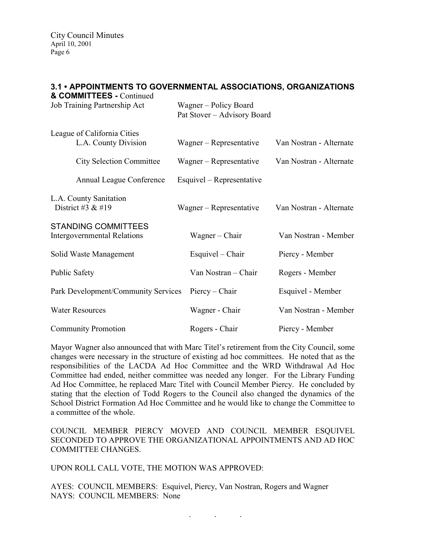#### 3.1 • APPOINTMENTS TO GOVERNMENTAL ASSOCIATIONS, ORGANIZATIONS & COMMITTEES - Continued

| Job Training Partnership Act                                     | Wagner – Policy Board<br>Pat Stover - Advisory Board |                         |
|------------------------------------------------------------------|------------------------------------------------------|-------------------------|
| League of California Cities<br>L.A. County Division              | Wagner – Representative                              | Van Nostran - Alternate |
| <b>City Selection Committee</b>                                  | Wagner – Representative                              | Van Nostran - Alternate |
| Annual League Conference                                         | Esquivel – Representative                            |                         |
| L.A. County Sanitation<br>District #3 $&$ #19                    | Wagner – Representative                              | Van Nostran - Alternate |
| <b>STANDING COMMITTEES</b><br><b>Intergovernmental Relations</b> | Wagner – Chair                                       | Van Nostran - Member    |
| Solid Waste Management                                           | Esquivel – Chair                                     | Piercy - Member         |
| <b>Public Safety</b>                                             | Van Nostran – Chair                                  | Rogers - Member         |
| Park Development/Community Services                              | Piercy – Chair                                       | Esquivel - Member       |
| <b>Water Resources</b>                                           | Wagner - Chair                                       | Van Nostran - Member    |
| <b>Community Promotion</b>                                       | Rogers - Chair                                       | Piercy - Member         |

Mayor Wagner also announced that with Marc Titel's retirement from the City Council, some changes were necessary in the structure of existing ad hoc committees. He noted that as the responsibilities of the LACDA Ad Hoc Committee and the WRD Withdrawal Ad Hoc Committee had ended, neither committee was needed any longer. For the Library Funding Ad Hoc Committee, he replaced Marc Titel with Council Member Piercy. He concluded by stating that the election of Todd Rogers to the Council also changed the dynamics of the School District Formation Ad Hoc Committee and he would like to change the Committee to a committee of the whole.

COUNCIL MEMBER PIERCY MOVED AND COUNCIL MEMBER ESQUIVEL SECONDED TO APPROVE THE ORGANIZATIONAL APPOINTMENTS AND AD HOC COMMITTEE CHANGES.

UPON ROLL CALL VOTE, THE MOTION WAS APPROVED:

AYES: COUNCIL MEMBERS: Esquivel, Piercy, Van Nostran, Rogers and Wagner NAYS: COUNCIL MEMBERS: None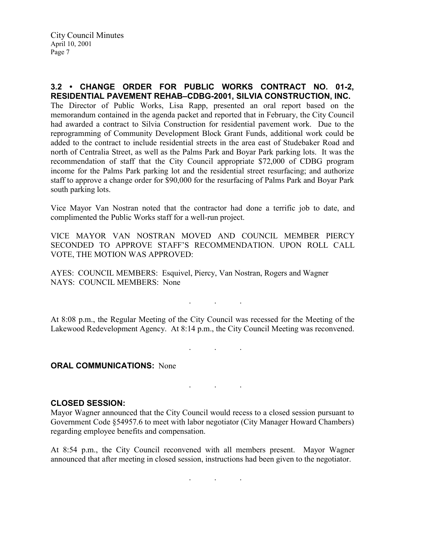# 3.2 • CHANGE ORDER FOR PUBLIC WORKS CONTRACT NO. 01-2, RESIDENTIAL PAVEMENT REHAB–CDBG-2001, SILVIA CONSTRUCTION, INC.

The Director of Public Works, Lisa Rapp, presented an oral report based on the memorandum contained in the agenda packet and reported that in February, the City Council had awarded a contract to Silvia Construction for residential pavement work. Due to the reprogramming of Community Development Block Grant Funds, additional work could be added to the contract to include residential streets in the area east of Studebaker Road and north of Centralia Street, as well as the Palms Park and Boyar Park parking lots. It was the recommendation of staff that the City Council appropriate \$72,000 of CDBG program income for the Palms Park parking lot and the residential street resurfacing; and authorize staff to approve a change order for \$90,000 for the resurfacing of Palms Park and Boyar Park south parking lots.

Vice Mayor Van Nostran noted that the contractor had done a terrific job to date, and complimented the Public Works staff for a well-run project.

VICE MAYOR VAN NOSTRAN MOVED AND COUNCIL MEMBER PIERCY SECONDED TO APPROVE STAFF'S RECOMMENDATION. UPON ROLL CALL VOTE, THE MOTION WAS APPROVED:

AYES: COUNCIL MEMBERS: Esquivel, Piercy, Van Nostran, Rogers and Wagner NAYS: COUNCIL MEMBERS: None

At 8:08 p.m., the Regular Meeting of the City Council was recessed for the Meeting of the Lakewood Redevelopment Agency. At 8:14 p.m., the City Council Meeting was reconvened.

. . .

. . .

. . .

#### **ORAL COMMUNICATIONS: None**

#### CLOSED SESSION:

Mayor Wagner announced that the City Council would recess to a closed session pursuant to Government Code §54957.6 to meet with labor negotiator (City Manager Howard Chambers) regarding employee benefits and compensation.

At 8:54 p.m., the City Council reconvened with all members present. Mayor Wagner announced that after meeting in closed session, instructions had been given to the negotiator.

 $\mathbf{r}$  .  $\mathbf{r}$  ,  $\mathbf{r}$  ,  $\mathbf{r}$  ,  $\mathbf{r}$  ,  $\mathbf{r}$  ,  $\mathbf{r}$  ,  $\mathbf{r}$